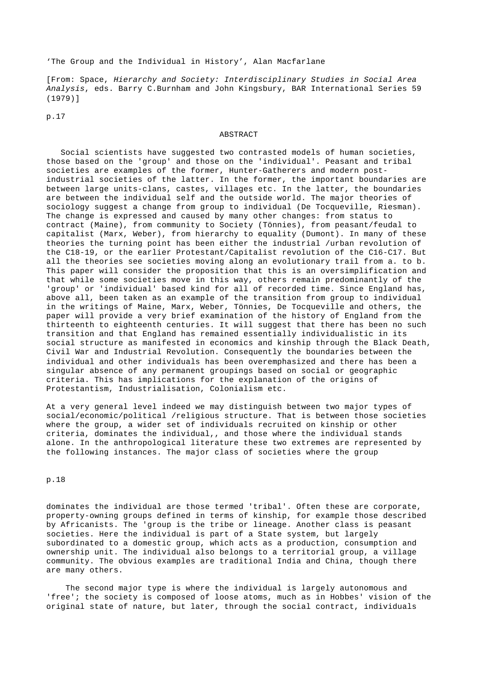'The Group and the Individual in History', Alan Macfarlane

[From: Space, *Hierarchy and Society: Interdisciplinary Studies in Social Area Analysis*, eds. Barry C.Burnham and John Kingsbury, BAR International Series 59 (1979)]

p.17

## ABSTRACT

 Social scientists have suggested two contrasted models of human societies, those based on the 'group' and those on the 'individual'. Peasant and tribal societies are examples of the former, Hunter-Gatherers and modern postindustrial societies of the latter. In the former, the important boundaries are between large units-clans, castes, villages etc. In the latter, the boundaries are between the individual self and the outside world. The major theories of sociology suggest a change from group to individual (De Tocqueville, Riesman). The change is expressed and caused by many other changes: from status to contract (Maine), from community to Society (Tönnies), from peasant/feudal to capitalist (Marx, Weber), from hierarchy to equality (Dumont). In many of these theories the turning point has been either the industrial /urban revolution of the C18-19, or the earlier Protestant/Capitalist revolution of the C16-C17. But all the theories see societies moving along an evolutionary trail from a. to b. This paper will consider the proposition that this is an oversimplification and that while some societies move in this way, others remain predominantly of the 'group' or 'individual' based kind for all of recorded time. Since England has, above all, been taken as an example of the transition from group to individual in the writings of Maine, Marx, Weber, Tönnies, De Tocqueville and others, the paper will provide a very brief examination of the history of England from the thirteenth to eighteenth centuries. It will suggest that there has been no such transition and that England has remained essentially individualistic in its social structure as manifested in economics and kinship through the Black Death, Civil War and Industrial Revolution. Consequently the boundaries between the individual and other individuals has been overemphasized and there has been a singular absence of any permanent groupings based on social or geographic criteria. This has implications for the explanation of the origins of Protestantism, Industrialisation, Colonialism etc.

At a very general level indeed we may distinguish between two major types of social/economic/political /religious structure. That is between those societies where the group, a wider set of individuals recruited on kinship or other criteria, dominates the individual,, and those where the individual stands alone. In the anthropological literature these two extremes are represented by the following instances. The major class of societies where the group

# p.18

dominates the individual are those termed 'tribal'. Often these are corporate, property-owning groups defined in terms of kinship, for example those described by Africanists. The 'group is the tribe or lineage. Another class is peasant societies. Here the individual is part of a State system, but largely subordinated to a domestic group, which acts as a production, consumption and ownership unit. The individual also belongs to a territorial group, a village community. The obvious examples are traditional India and China, though there are many others.

 The second major type is where the individual is largely autonomous and 'free'; the society is composed of loose atoms, much as in Hobbes' vision of the original state of nature, but later, through the social contract, individuals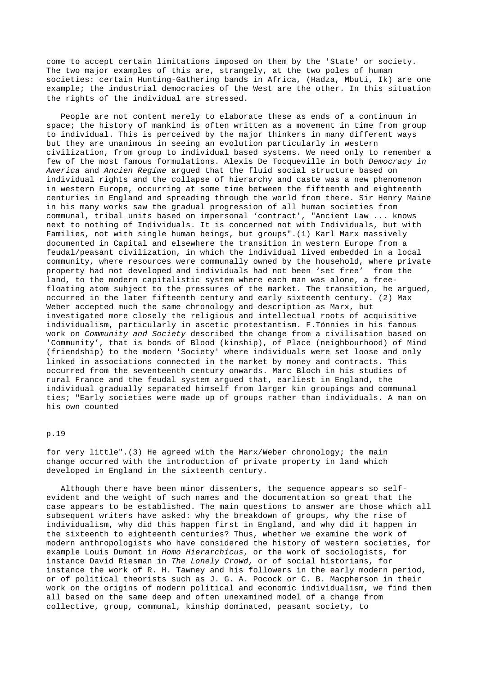come to accept certain limitations imposed on them by the 'State' or society. The two major examples of this are, strangely, at the two poles of human societies: certain Hunting-Gathering bands in Africa, (Hadza, Mbuti, Ik) are one example; the industrial democracies of the West are the other. In this situation the rights of the individual are stressed.

 People are not content merely to elaborate these as ends of a continuum in space; the history of mankind is often written as a movement in time from group to individual. This is perceived by the major thinkers in many different ways but they are unanimous in seeing an evolution particularly in western civilization, from group to individual based systems. We need only to remember a few of the most famous formulations. Alexis De Tocqueville in both *Democracy in America* and *Ancien Regime* argued that the fluid social structure based on individual rights and the collapse of hierarchy and caste was a new phenomenon in western Europe, occurring at some time between the fifteenth and eighteenth centuries in England and spreading through the world from there. Sir Henry Maine in his many works saw the gradual progression of all human societies from communal, tribal units based on impersonal 'contract', "Ancient Law ... knows next to nothing of Individuals. It is concerned not with Individuals, but with Families, not with single human beings, but groups".(1) Karl Marx massively documented in Capital and elsewhere the transition in western Europe from a feudal/peasant civilization, in which the individual lived embedded in a local community, where resources were communally owned by the household, where private property had not developed and individuals had not been 'set free' from the land, to the modern capitalistic system where each man was alone, a freefloating atom subject to the pressures of the market. The transition, he argued, occurred in the later fifteenth century and early sixteenth century. (2) Max Weber accepted much the same chronology and description as Marx, but investigated more closely the religious and intellectual roots of acquisitive individualism, particularly in ascetic protestantism. F.Tönnies in his famous work on *Community and Society* described the change from a civilisation based on 'Community', that is bonds of Blood (kinship), of Place (neighbourhood) of Mind (friendship) to the modern 'Society' where individuals were set loose and only linked in associations connected in the market by money and contracts. This occurred from the seventeenth century onwards. Marc Bloch in his studies of rural France and the feudal system argued that, earliest in England, the individual gradually separated himself from larger kin groupings and communal ties; "Early societies were made up of groups rather than individuals. A man on his own counted

## p.19

for very little".(3) He agreed with the Marx/Weber chronology; the main change occurred with the introduction of private property in land which developed in England in the sixteenth century.

 Although there have been minor dissenters, the sequence appears so selfevident and the weight of such names and the documentation so great that the case appears to be established. The main questions to answer are those which all subsequent writers have asked: why the breakdown of groups, why the rise of individualism, why did this happen first in England, and why did it happen in the sixteenth to eighteenth centuries? Thus, whether we examine the work of modern anthropologists who have considered the history of western societies, for example Louis Dumont in *Homo Hierarchicus*, or the work of sociologists, for instance David Riesman in *The Lonely Crowd*, or of social historians, for instance the work of R. H. Tawney and his followers in the early modern period, or of political theorists such as J. G. A. Pocock or C. B. Macpherson in their work on the origins of modern political and economic individualism, we find them all based on the same deep and often unexamined model of a change from collective, group, communal, kinship dominated, peasant society, to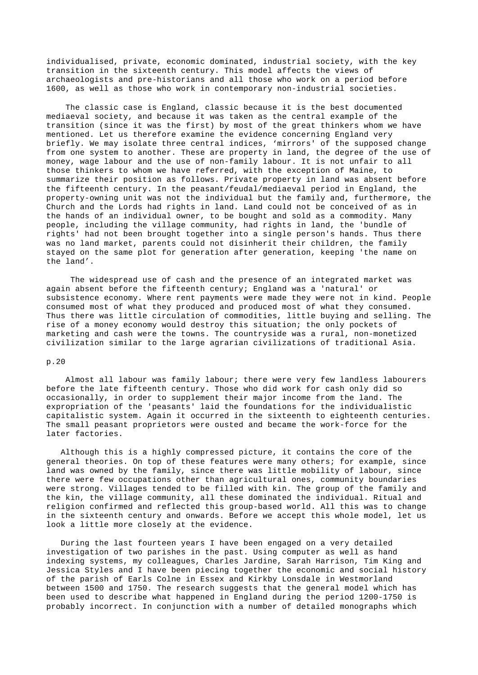individualised, private, economic dominated, industrial society, with the key transition in the sixteenth century. This model affects the views of archaeologists and pre-historians and all those who work on a period before 1600, as well as those who work in contemporary non-industrial societies.

 The classic case is England, classic because it is the best documented mediaeval society, and because it was taken as the central example of the transition (since it was the first) by most of the great thinkers whom we have mentioned. Let us therefore examine the evidence concerning England very briefly. We may isolate three central indices, 'mirrors' of the supposed change from one system to another. These are property in land, the degree of the use of money, wage labour and the use of non-family labour. It is not unfair to all those thinkers to whom we have referred, with the exception of Maine, to summarize their position as follows. Private property in land was absent before the fifteenth century. In the peasant/feudal/mediaeval period in England, the property-owning unit was not the individual but the family and, furthermore, the Church and the Lords had rights in land. Land could not be conceived of as in the hands of an individual owner, to be bought and sold as a commodity. Many people, including the village community, had rights in land, the 'bundle of rights' had not been brought together into a single person's hands. Thus there was no land market, parents could not disinherit their children, the family stayed on the same plot for generation after generation, keeping 'the name on the land'.

 The widespread use of cash and the presence of an integrated market was again absent before the fifteenth century; England was a 'natural' or subsistence economy. Where rent payments were made they were not in kind. People consumed most of what they produced and produced most of what they consumed. Thus there was little circulation of commodities, little buying and selling. The rise of a money economy would destroy this situation; the only pockets of marketing and cash were the towns. The countryside was a rural, non-monetized civilization similar to the large agrarian civilizations of traditional Asia.

#### p.20

 Almost all labour was family labour; there were very few landless labourers before the late fifteenth century. Those who did work for cash only did so occasionally, in order to supplement their major income from the land. The expropriation of the 'peasants' laid the foundations for the individualistic capitalistic system. Again it occurred in the sixteenth to eighteenth centuries. The small peasant proprietors were ousted and became the work-force for the later factories.

 Although this is a highly compressed picture, it contains the core of the general theories. On top of these features were many others; for example, since land was owned by the family, since there was little mobility of labour, since there were few occupations other than agricultural ones, community boundaries were strong. Villages tended to be filled with kin. The group of the family and the kin, the village community, all these dominated the individual. Ritual and religion confirmed and reflected this group-based world. All this was to change in the sixteenth century and onwards. Before we accept this whole model, let us look a little more closely at the evidence.

 During the last fourteen years I have been engaged on a very detailed investigation of two parishes in the past. Using computer as well as hand indexing systems, my colleagues, Charles Jardine, Sarah Harrison, Tim King and Jessica Styles and I have been piecing together the economic and social history of the parish of Earls Colne in Essex and Kirkby Lonsdale in Westmorland between 1500 and 1750. The research suggests that the general model which has been used to describe what happened in England during the period 1200-1750 is probably incorrect. In conjunction with a number of detailed monographs which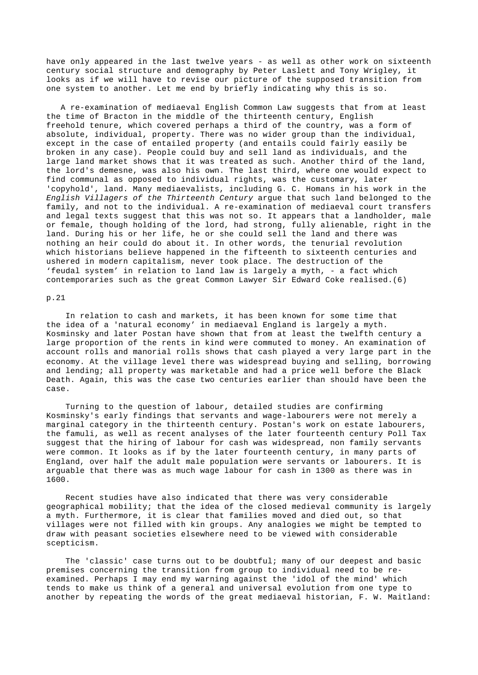have only appeared in the last twelve years - as well as other work on sixteenth century social structure and demography by Peter Laslett and Tony Wrigley, it looks as if we will have to revise our picture of the supposed transition from one system to another. Let me end by briefly indicating why this is so.

 A re-examination of mediaeval English Common Law suggests that from at least the time of Bracton in the middle of the thirteenth century, English freehold tenure, which covered perhaps a third of the country, was a form of absolute, individual, property. There was no wider group than the individual, except in the case of entailed property (and entails could fairly easily be broken in any case). People could buy and sell land as individuals, and the large land market shows that it was treated as such. Another third of the land, the lord's demesne, was also his own. The last third, where one would expect to find communal as opposed to individual rights, was the customary, later 'copyhold', land. Many mediaevalists, including G. C. Homans in his work in the *English Villagers of the Thirteenth Century* argue that such land belonged to the family, and not to the individual. A re-examination of mediaeval court transfers and legal texts suggest that this was not so. It appears that a landholder, male or female, though holding of the lord, had strong, fully alienable, right in the land. During his or her life, he or she could sell the land and there was nothing an heir could do about it. In other words, the tenurial revolution which historians believe happened in the fifteenth to sixteenth centuries and ushered in modern capitalism, never took place. The destruction of the 'feudal system' in relation to land law is largely a myth, - a fact which contemporaries such as the great Common Lawyer Sir Edward Coke realised.(6)

#### p.21

 In relation to cash and markets, it has been known for some time that the idea of a 'natural economy' in mediaeval England is largely a myth. Kosminsky and later Postan have shown that from at least the twelfth century a large proportion of the rents in kind were commuted to money. An examination of account rolls and manorial rolls shows that cash played a very large part in the economy. At the village level there was widespread buying and selling, borrowing and lending; all property was marketable and had a price well before the Black Death. Again, this was the case two centuries earlier than should have been the case.

 Turning to the question of labour, detailed studies are confirming Kosminsky's early findings that servants and wage-labourers were not merely a marginal category in the thirteenth century. Postan's work on estate labourers, the famuli, as well as recent analyses of the later fourteenth century Poll Tax suggest that the hiring of labour for cash was widespread, non family servants were common. It looks as if by the later fourteenth century, in many parts of England, over half the adult male population were servants or labourers. It is arguable that there was as much wage labour for cash in 1300 as there was in 1600.

 Recent studies have also indicated that there was very considerable geographical mobility; that the idea of the closed medieval community is largely a myth. Furthermore, it is clear that families moved and died out, so that villages were not filled with kin groups. Any analogies we might be tempted to draw with peasant societies elsewhere need to be viewed with considerable scepticism.

 The 'classic' case turns out to be doubtful; many of our deepest and basic premises concerning the transition from group to individual need to be reexamined. Perhaps I may end my warning against the 'idol of the mind' which tends to make us think of a general and universal evolution from one type to another by repeating the words of the great mediaeval historian, F. W. Maitland: